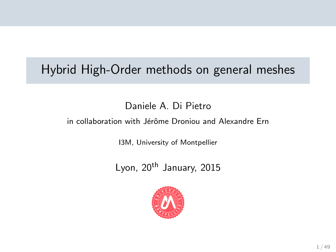# Hybrid High-Order methods on general meshes

### Daniele A. Di Pietro

#### in collaboration with Jérôme Droniou and Alexandre Ern

I3M, University of Montpellier

Lyon, 20<sup>th</sup> January, 2015

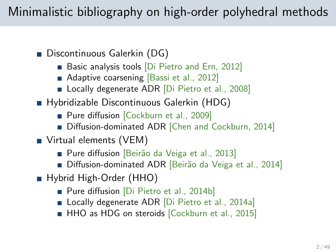# Minimalistic bibliography on high-order polyhedral methods

- Discontinuous Galerkin (DG)
	- **Basic analysis tools Di Pietro and Ern, 2012**
	- **Adaptive coarsening [\[Bassi et al., 2012\]](#page-46-0)**
	- Locally degenerate ADR [\[Di Pietro et al., 2008\]](#page-47-1)
- Hybridizable Discontinuous Galerkin (HDG)
	- **Pure diffusion** [\[Cockburn et al., 2009\]](#page-46-1)
	- Diffusion-dominated ADR [\[Chen and Cockburn, 2014\]](#page-46-2)
- Virtual elements (VEM)
	- Pure diffusion [Beirão da Veiga et al., 2013]
	- Diffusion-dominated ADR [Beirão da Veiga et al., 2014]
- Hybrid High-Order (HHO)
	- **Pure diffusion** [\[Di Pietro et al., 2014b\]](#page-47-2)
	- **Locally degenerate ADR** [\[Di Pietro et al., 2014a\]](#page-46-5)
	- HHO as HDG on steroids [\[Cockburn et al., 2015\]](#page-46-6)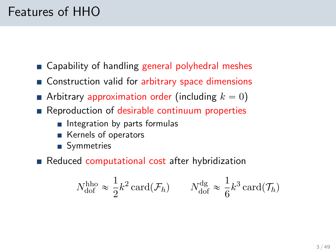# Features of HHO

- Capability of handling general polyhedral meshes
- Construction valid for arbitrary space dimensions
- Arbitrary approximation order (including  $k = 0$ )
- **Reproduction of desirable continuum properties** 
	- $\blacksquare$  Integration by parts formulas
	- Kernels of operators
	- Symmetries
- Reduced computational cost after hybridization

$$
N_{\text{dof}}^{\text{hho}} \approx \frac{1}{2} k^2 \operatorname{card}(\mathcal{F}_h) \qquad N_{\text{dof}}^{\text{dg}} \approx \frac{1}{6} k^3 \operatorname{card}(\mathcal{T}_h)
$$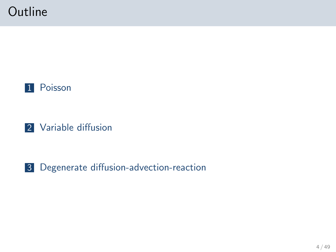# **Outline**





### 3 [Degenerate diffusion-advection-reaction](#page-26-0)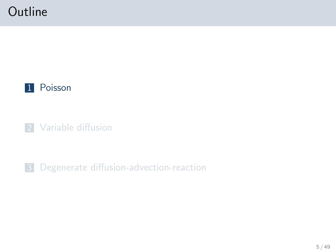# **Outline**



**2** [Variable diffusion](#page-21-0)

<span id="page-4-0"></span>3 [Degenerate diffusion-advection-reaction](#page-26-0)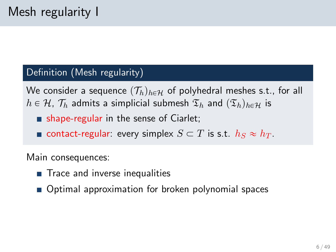#### Definition (Mesh regularity)

We consider a sequence  $(\mathcal{T}_h)_{h \in \mathcal{H}}$  of polyhedral meshes s.t., for all  $h \in \mathcal{H}$ ,  $\mathcal{T}_h$  admits a simplicial submesh  $\mathfrak{T}_h$  and  $(\mathfrak{T}_h)_{h \in \mathcal{H}}$  is

- $\blacksquare$  shape-regular in the sense of Ciarlet;
- contact-regular: every simplex  $S \subset T$  is s.t.  $h_S \approx h_T$ .

Main consequences:

- Trace and inverse inequalities
- Optimal approximation for broken polynomial spaces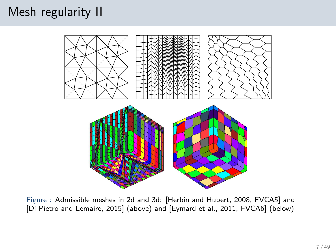# Mesh regularity II



Figure : Admissible meshes in 2d and 3d: [\[Herbin and Hubert, 2008,](#page-48-0) FVCA5] and [\[Di Pietro and Lemaire, 2015\]](#page-47-3) (above) and [\[Eymard et al., 2011,](#page-47-4) FVCA6] (below)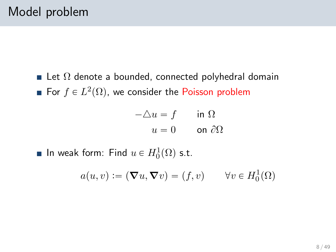Let  $\Omega$  denote a bounded, connected polyhedral domain For  $f \in L^2(\Omega)$ , we consider the Poisson problem

$$
-\triangle u = f \qquad \text{in } \Omega
$$

$$
u = 0 \qquad \text{on } \partial\Omega
$$

In weak form: Find  $u \in H_0^1(\Omega)$  s.t.

$$
a(u, v) := (\nabla u, \nabla v) = (f, v) \qquad \forall v \in H_0^1(\Omega)
$$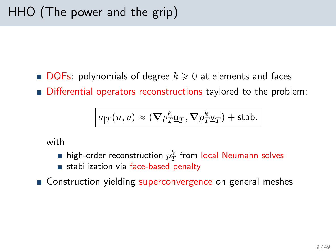**DOFs:** polynomials of degree  $k \geq 0$  at elements and faces Differential operators reconstructions taylored to the problem:

$$
\boxed{a_{|T}(u,v) \approx (\nabla p_T^k \underline{\mathbf{u}}_T, \nabla p_T^k \underline{\mathbf{v}}_T) + \text{stab.}}
$$

with

- high-order reconstruction  $p_T^k$  from local Neumann solves
- stabilization via face-based penalty
- Construction yielding superconvergence on general meshes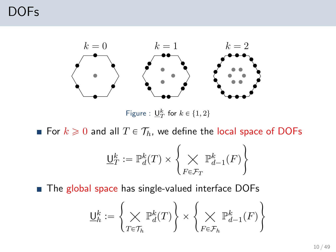## DOFs



Figure :  $\underline{\mathsf{U}}_T^k$  for  $k \in \{1,2\}$ 

For  $k \geq 0$  and all  $T \in \mathcal{T}_h$ , we define the local space of DOFs  $\ddot{\phantom{1}}$ 

$$
\underline{\mathsf{U}}_T^k := \mathbb{P}^k_d(T) \times \left\{ \bigtimes_{F \in \mathcal{F}_T} \mathbb{P}^k_{d-1}(F) \right\}
$$

■ The global space has single-valued interface DOFs  $\mathbf{r}$ 

$$
\underline{\mathsf{U}}_h^k := \left\{ \bigtimes_{T \in \mathcal{T}_h} \mathbb{P}_d^k(T) \right\} \times \left\{ \bigtimes_{F \in \mathcal{F}_h} \mathbb{P}_{d-1}^k(F) \right\}
$$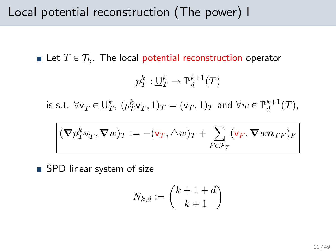## Local potential reconstruction (The power) I

Let  $T \in \mathcal{T}_h$ . The local potential reconstruction operator

$$
p_T^k:\underline{\mathsf U}_T^k\to\mathbb P_d^{k+1}(T)
$$

is s.t.  $\forall \underline{v}_T \in \underline{\mathsf{U}}_T^k$ ,  $(p_T^k \underline{v}_T, 1)_T = (\mathsf{v}_T, 1)_T$  and  $\forall w \in \mathbb{P}_d^{k+1}(T)$ ,

$$
(\boldsymbol{\nabla} p_T^k \underline{\mathbf{v}}_T, \boldsymbol{\nabla} w)_T := -(\mathbf{v}_T, \triangle w)_T + \sum_{F \in \mathcal{F}_T} (\mathbf{v}_F, \boldsymbol{\nabla} w \boldsymbol{n}_{TF})_F
$$

■ SPD linear system of size

$$
N_{k,d} := \binom{k+1+d}{k+1}
$$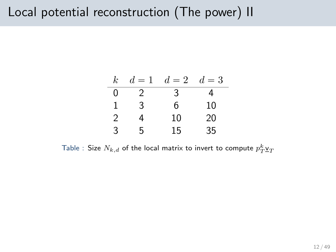# Local potential reconstruction (The power) II

|   |   | $k \quad d=1 \quad d=2 \quad d=3$ |    |  |
|---|---|-----------------------------------|----|--|
| O | 2 | 3                                 |    |  |
|   | 3 | 6                                 | 10 |  |
| 2 |   | 10                                | 20 |  |
| 3 | h | 15                                | 35 |  |

Table : Size  $N_{k,d}$  of the local matrix to invert to compute  $p_T^k \underline{\mathsf{v}}_T$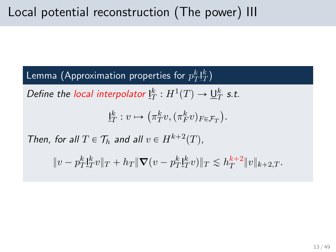Lemma (Approximation properties for  $p_T^k \mathbf{l}_T^k)$ 

Define the local interpolator  $\underline{\mathsf{I}}_T^k : H^1(T) \to \underline{\mathsf{U}}_T^k$  s.t.

$$
\underline{\mathsf{I}}_T^k : v \mapsto \left(\pi_T^k v, (\pi_F^k v)_{F \in \mathcal{F}_T}\right).
$$

Then, for all  $T \in \mathcal{T}_h$  and all  $v \in H^{k+2}(T)$ ,

$$
||v - p_T^k \mathbf{1}_T^k v||_T + h_T ||\nabla (v - p_T^k \mathbf{1}_T^k v)||_T \lesssim h_T^{k+2} ||v||_{k+2,T}.
$$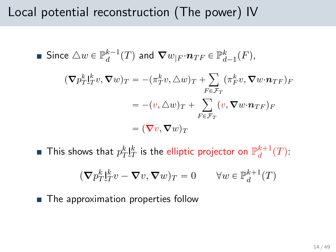# Local potential reconstruction (The power) IV

■ Since 
$$
\triangle w \in \mathbb{P}_d^{k-1}(T)
$$
 and  $\nabla w_{|F} \cdot \boldsymbol{n}_{TF} \in \mathbb{P}_{d-1}^k(F)$ ,  
\n
$$
(\nabla p_T^k \mathbf{I}_T^k v, \nabla w)_T = -(\pi_T^k v, \triangle w)_T + \sum_{F \in \mathcal{F}_T} (\pi_F^k v, \nabla w \cdot \boldsymbol{n}_{TF})_F
$$
\n
$$
= -(v, \triangle w)_T + \sum_{F \in \mathcal{F}_T} (v, \nabla w \cdot \boldsymbol{n}_{TF})_F
$$
\n
$$
= (\nabla v, \nabla w)_T
$$

This shows that  $p_T^k \underline{\mathit{I}}^k_T$  is the elliptic projector on  $\mathbb{P}^{k+1}_d(T)$ :

$$
(\nabla p_T^k \mathbf{I}_T^k v - \nabla v, \nabla w)_T = 0 \qquad \forall w \in \mathbb{P}_d^{k+1}(T)
$$

■ The approximation properties follow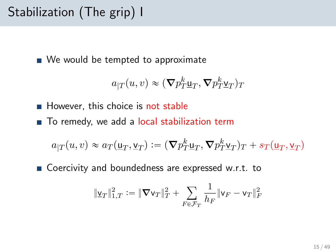# Stabilization (The grip) I

■ We would be tempted to approximate

$$
a_{|T}(u,v) \approx (\nabla p_T^k \underline{\mathbf{u}}_T, \nabla p_T^k \underline{\mathbf{v}}_T)_T
$$

 $\blacksquare$  However, this choice is not stable

■ To remedy, we add a local stabilization term

$$
a_{|T}(u,v) \approx a_T(\underline{\mathbf{u}}_T, \underline{\mathbf{v}}_T) := (\nabla p_T^k \underline{\mathbf{u}}_T, \nabla p_T^k \underline{\mathbf{v}}_T)_T + s_T(\underline{\mathbf{u}}_T, \underline{\mathbf{v}}_T)
$$

■ Coercivity and boundedness are expressed w.r.t. to

$$
\|\underline{\mathsf{v}}_T\|_{1,T}^2 := \|\nabla \mathsf{v}_T\|_T^2 + \sum_{F \in \mathcal{F}_T} \frac{1}{h_F} \|\mathsf{v}_F - \mathsf{v}_T\|_F^2
$$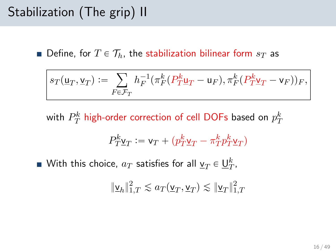# Stabilization (The grip) II

**Define, for**  $T \in \mathcal{T}_h$ , the stabilization bilinear form  $s_T$  as

$$
s_T(\underline{\mathbf{u}}_T, \underline{\mathbf{v}}_T) := \sum_{F \in \mathcal{F}_T} h_F^{-1}(\pi_F^k(P_T^k \underline{\mathbf{u}}_T - \underline{\mathbf{u}}_F), \pi_F^k(P_T^k \underline{\mathbf{v}}_T - \underline{\mathbf{v}}_F))_F,
$$

with  $P^k_T$  high-order correction of cell DOFs based on  $p_T^k$ 

$$
P^k_T \underline{\mathbf{v}}_T := \mathbf{v}_T + \big(p^k_T \underline{\mathbf{v}}_T - \pi^k_T p^k_T \underline{\mathbf{v}}_T\big)
$$

With this choice,  $a_T$  satisfies for all  $\underline{\mathsf{v}}_T\in \underline{\mathsf{U}}_T^k,$ 

$$
\|\underline{\mathbf{v}}_h\|_{1,T}^2 \lesssim a_T(\underline{\mathbf{v}}_T, \underline{\mathbf{v}}_T) \lesssim \|\underline{\mathbf{v}}_T\|_{1,T}^2
$$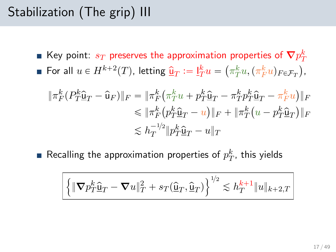# Stabilization (The grip) III

Key point:  $s_T$  preserves the approximation properties of  $\boldsymbol{\nabla} p_T^k$ For all  $u \in H^{k+2}(T)$ , letting  $\hat{\mathbf{u}}_T := \underline{\mathbf{l}}_T^k u = \left(\pi_T^k u, (\pi_F^k u)_{F \in \mathcal{F}_T}\right)$ ,

$$
\begin{aligned} \|\pi_F^k(P_T^k \hat{\mathbf{u}}_T - \hat{\mathbf{u}}_F)\|_F &= \|\pi_F^k \left(\pi_T^k u + p_T^k \hat{\mathbf{u}}_T - \pi_T^k p_T^k \hat{\mathbf{u}}_T - \pi_F^k u\right)\|_F \\ &\le \|\pi_F^k \left(p_T^k \hat{\mathbf{u}}_T - u\right)\|_F + \|\pi_T^k \left(u - p_T^k \hat{\mathbf{u}}_T\right)\|_F \\ &\le h_T^{-1/2} \|p_T^k \hat{\mathbf{u}}_T - u\|_T \end{aligned}
$$

Recalling the approximation properties of  $p_{T}^{k}$ , this yields

$$
\left\{\|\boldsymbol{\nabla}p_T^k\hat{\underline{\mathbf{u}}}_T-\boldsymbol{\nabla}u\|_T^2+s_T(\hat{\underline{\mathbf{u}}}_T,\hat{\underline{\mathbf{u}}}_T)\right\}^{\text{1/2}}\lesssim h_T^{k+1}\|u\|_{k+2,T}
$$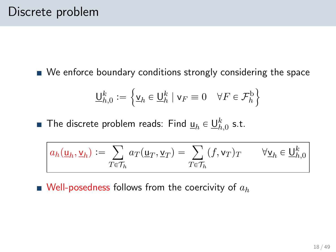We enforce boundary conditions strongly considering the space

$$
\underline{\mathsf{U}}_{h,0}^k := \left\{ \underline{\mathsf{v}}_h \in \underline{\mathsf{U}}_h^k \mid \mathsf{v}_F \equiv 0 \quad \forall F \in \mathcal{F}_h^{\mathrm{b}} \right\}
$$

The discrete problem reads: Find  $\underline{\mathsf{u}}_h\in \underline{\mathsf{U}}_{h,0}^k$  s.t.

$$
a_h(\underline{\mathbf{u}}_h, \underline{\mathbf{v}}_h) := \sum_{T \in \mathcal{T}_h} a_T(\underline{\mathbf{u}}_T, \underline{\mathbf{v}}_T) = \sum_{T \in \mathcal{T}_h} (f, \mathbf{v}_T)_T \qquad \forall \underline{\mathbf{v}}_h \in \underline{\mathbf{U}}^k_{h,0}
$$

 $\blacksquare$  Well-posedness follows from the coercivity of  $a_h$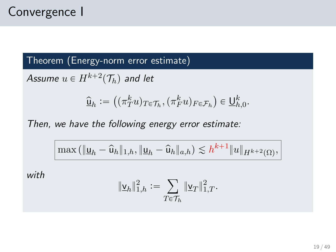### Theorem (Energy-norm error estimate)

Assume  $u \in H^{k+2}(\mathcal{T}_h)$  and let

$$
\widehat{\underline{\mathsf{u}}}_h := \left( (\pi_T^k u)_{T \in \mathcal{T}_h}, (\pi_F^k u)_{F \in \mathcal{F}_h} \right) \in \underline{\mathsf{U}}_{h,0}^k.
$$

Then, we have the following energy error estimate:

$$
\max(\|\underline{u}_h - \widehat{u}_h\|_{1,h}, \|\underline{u}_h - \widehat{u}_h\|_{a,h}) \lesssim h^{k+1} \|u\|_{H^{k+2}(\Omega)},
$$

with

$$
\|\underline{\mathsf{v}}_h\|_{1,h}^2 := \sum_{T \in \mathcal{T}_h} \|\underline{\mathsf{v}}_T\|_{1,T}^2.
$$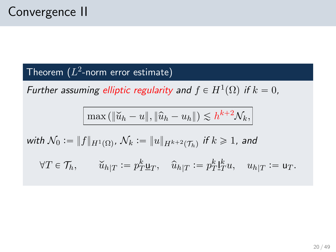### Theorem  $(L^2$ -norm error estimate)

Further assuming elliptic regularity and  $f \in H^1(\Omega)$  if  $k = 0$ ,

$$
\max(\|\widetilde{u}_h - u\|, \|\widehat{u}_h - u_h\|) \lesssim h^{k+2} \mathcal{N}_k,
$$

with 
$$
\mathcal{N}_0 := ||f||_{H^1(\Omega)}, \mathcal{N}_k := ||u||_{H^{k+2}(\mathcal{T}_h)}
$$
 if  $k \ge 1$ , and

$$
\forall T\in\mathcal{T}_h,\qquad \widecheck{u}_{h|T}:=p_T^k\underline{\mathsf{u}}_T,\quad \widehat{u}_{h|T}:=p_T^k\underline{\mathsf{I}}_T^ku,\quad u_{h|T}:=\mathsf{u}_T.
$$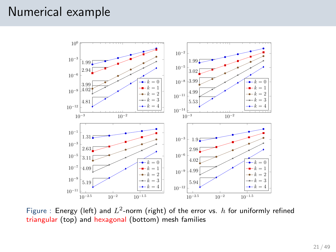## Numerical example



Figure : Energy (left) and  $L^2$ -norm (right) of the error vs.  $h$  for uniformly refined triangular (top) and hexagonal (bottom) mesh families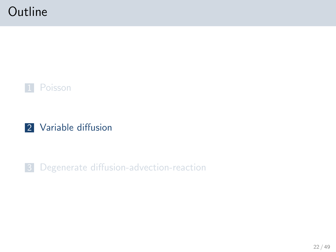# **Outline**





#### <span id="page-21-0"></span>3 [Degenerate diffusion-advection-reaction](#page-26-0)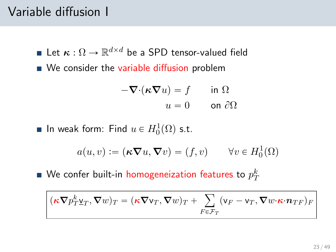# Variable diffusion I

- Let  $\kappa: \Omega \to \mathbb{R}^{d \times d}$  be a SPD tensor-valued field
- We consider the variable diffusion problem

$$
-\nabla \cdot (\kappa \nabla u) = f \quad \text{in } \Omega
$$

$$
u = 0 \quad \text{on } \partial \Omega
$$

In weak form: Find  $u \in H_0^1(\Omega)$  s.t.

$$
a(u, v) := (\kappa \nabla u, \nabla v) = (f, v) \qquad \forall v \in H_0^1(\Omega)
$$

We confer built-in homogeneization features to  $p_T^k$ 

$$
(\boldsymbol{\kappa} \boldsymbol{\nabla} p_T^k \underline{\mathbf{v}}_T, \boldsymbol{\nabla} w)_T = (\boldsymbol{\kappa} \boldsymbol{\nabla} \mathbf{v}_T, \boldsymbol{\nabla} w)_T + \sum_{F \in \mathcal{F}_T} (\mathbf{v}_F - \mathbf{v}_T, \boldsymbol{\nabla} w \cdot \boldsymbol{\kappa} \cdot \boldsymbol{n}_{TF})_F
$$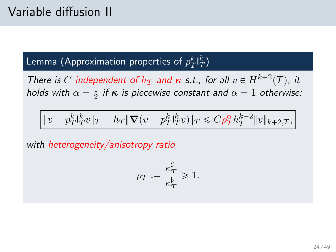# Lemma (Approximation properties of  $p_T^k \mathbf{I}_T^k)$

There is C independent of  $h_T$  and  $\kappa$  s.t., for all  $v \in H^{k+2}(T)$ , it holds with  $\alpha = \frac{1}{2}$  $\frac{1}{2}$  if  $\kappa$  is piecewise constant and  $\alpha = 1$  otherwise:

$$
\|v-p_{T}^{k}\underline{l}_{T}^{k}v\|_{T}+h_{T}\|\boldsymbol\nabla(v-p_{T}^{k}\underline{l}_{T}^{k}v)\|_{T}\leqslant C\rho_{T}^{\alpha}h_{T}^{k+2}\|v\|_{k+2,T},
$$

with heterogeneity/anisotropy ratio

$$
\rho_T := \frac{\kappa_T^{\sharp}}{\kappa_T^{\flat}} \geqslant 1.
$$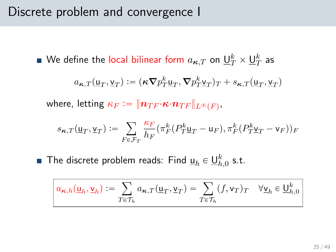## Discrete problem and convergence I

We define the local bilinear form  $a_{\boldsymbol{\kappa},T}$  on  $\underline{\mathsf{U}}_T^k\times\underline{\mathsf{U}}_T^k$  as

$$
a_{\kappa,T}(\underline{\mathbf{u}}_T,\underline{\mathbf{v}}_T):=(\kappa\boldsymbol{\nabla}p_T^k\underline{\mathbf{u}}_T,\boldsymbol{\nabla}p_T^k\underline{\mathbf{v}}_T)_T+s_{\kappa,T}(\underline{\mathbf{u}}_T,\underline{\mathbf{v}}_T)
$$

where, letting  $\kappa_F := \| \boldsymbol{n}_{TF} {\cdot} \boldsymbol{\kappa} {\cdot} \boldsymbol{n}_{TF} \|_{L^\infty(F)},$ 

$$
s_{\kappa,T}(\underline{\mathbf{u}}_T,\underline{\mathbf{v}}_T):=\sum_{F\in\mathcal{F}_T}\frac{\kappa_F}{h_F}(\pi_F^k(P_T^k\underline{\mathbf{u}}_T-\mathbf{u}_F),\pi_F^k(P_T^k\underline{\mathbf{v}}_T-\mathbf{v}_F))_F
$$

The discrete problem reads: Find  $\underline{\mathsf{u}}_h\in \underline{\mathsf{U}}_{h,0}^k$  s.t.

$$
a_{\kappa,h}(\underline{\mathbf{u}}_h, \underline{\mathbf{v}}_h) := \sum_{T \in \mathcal{T}_h} a_{\kappa,T}(\underline{\mathbf{u}}_T, \underline{\mathbf{v}}_T) = \sum_{T \in \mathcal{T}_h} (f, \mathbf{v}_T)_T \quad \forall \underline{\mathbf{v}}_h \in \underline{\mathbf{U}}_{h,0}^k
$$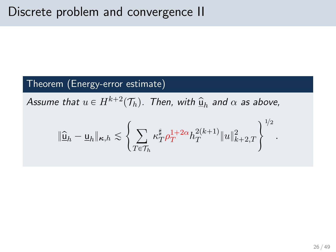#### Theorem (Energy-error estimate)

Assume that  $u \in H^{k+2}(\mathcal{T}_h)$ . Then, with  $\widehat{\underline{u}}_h$  and  $\alpha$  as above,

$$
\|\widehat{\underline{\mathsf{u}}}_h-\underline{\mathsf{u}}_h\|_{\kappa,h}\lesssim\left\{\sum_{T\in\mathcal{T}_h}\kappa_T^\sharp\rho_T^{1+2\alpha}h_T^{2(k+1)}\|u\|_{k+2,T}^2\right\}^{1/2}
$$

.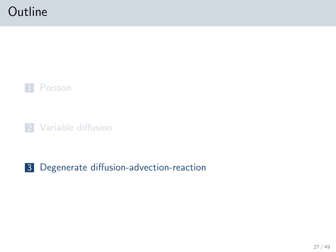# **Outline**



**2** [Variable diffusion](#page-21-0)

### <span id="page-26-0"></span>3 [Degenerate diffusion-advection-reaction](#page-26-0)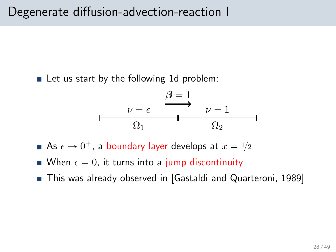$\blacksquare$  Let us start by the following 1d problem:



- As  $\epsilon \rightarrow 0^+$ , a boundary layer develops at  $x = 1\!/2$
- When  $\epsilon = 0$ , it turns into a jump discontinuity
- This was already observed in [\[Gastaldi and Quarteroni, 1989\]](#page-48-1)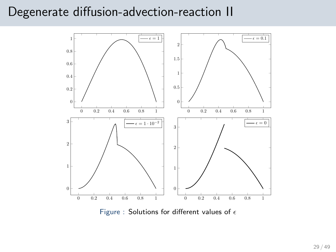### Degenerate diffusion-advection-reaction II



Figure : Solutions for different values of  $\epsilon$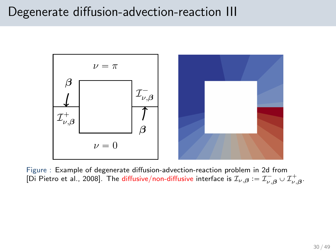### Degenerate diffusion-advection-reaction III



Figure : Example of degenerate diffusion-advection-reaction problem in 2d from [\[Di Pietro et al., 2008\]](#page-47-1). The diffusive/non-diffusive interface is  $\mathcal{I}_{\nu,\bm{\beta}}\coloneqq\mathcal{I}_{\nu,\bm{\beta}}^{-}\cup\mathcal{I}_{\nu,\bm{\beta}}^{+}.$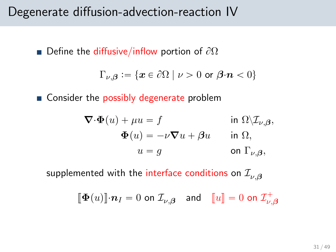### Degenerate diffusion-advection-reaction IV

■ Define the diffusive/inflow portion of  $\partial\Omega$ 

$$
\Gamma_{\nu,\boldsymbol{\beta}} := \{ \boldsymbol{x} \in \partial \Omega \mid \nu > 0 \text{ or } \boldsymbol{\beta} \cdot \boldsymbol{n} < 0 \}
$$

■ Consider the possibly degenerate problem

$$
\nabla \cdot \Phi(u) + \mu u = f \qquad \text{in } \Omega \setminus \mathcal{I}_{\nu,\beta},
$$

$$
\Phi(u) = -\nu \nabla u + \beta u \qquad \text{in } \Omega,
$$

$$
u = g \qquad \text{on } \Gamma_{\nu,\beta},
$$

supplemented with the interface conditions on  $\mathcal{I}_{\nu,\beta}$ 

$$
\llbracket \mathbf{\Phi}(u) \rrbracket \cdot \mathbf{n}_I = 0 \text{ on } \mathcal{I}_{\nu,\boldsymbol{\beta}} \quad \text{and} \quad \llbracket u \rrbracket = 0 \text{ on } \mathcal{I}_{\nu,\boldsymbol{\beta}}^+
$$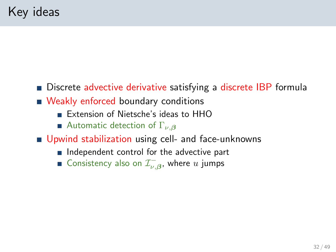- Discrete advective derivative satisfying a discrete IBP formula
- Weakly enforced boundary conditions
	- **Extension of Nietsche's ideas to HHO**
	- Automatic detection of  $\Gamma_{\nu,\beta}$
- Upwind stabilization using cell- and face-unknowns
	- $\blacksquare$  Independent control for the advective part
	- Consistency also on  $\mathcal{I}^-_{\nu,\beta}$ , where  $u$  jumps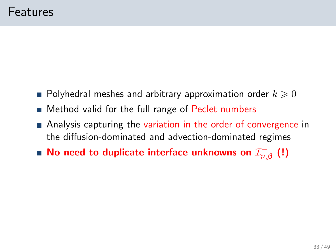- $\blacksquare$  Polyhedral meshes and arbitrary approximation order  $k\geqslant 0$
- Method valid for the full range of Peclet numbers
- Analysis capturing the variation in the order of convergence in the diffusion-dominated and advection-dominated regimes
- No need to duplicate interface unknowns on  $\mathcal{I}^{-}_{\nu,\beta}$   $\left( ! \right)$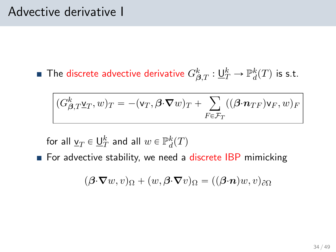### Advective derivative I

The discrete advective derivative  $G_{\bm{\beta},T}^k:\underline{\sf U}_T^k\to\mathbb{P}^k_d(T)$  is s.t.

$$
(G_{\beta,T}^k \underline{\mathbf{v}}_T, \underline{\mathbf{v}}_T = -(\mathbf{v}_T, \beta \cdot \nabla \underline{\mathbf{v}}_T) + \sum_{F \in \mathcal{F}_T} ((\beta \cdot \mathbf{n}_{TF}) \mathbf{v}_F, \underline{\mathbf{w}}_F)_F
$$

for all  $\underline{v}_T \in \underline{\mathsf{U}}_T^k$  and all  $w \in \mathbb{P}_d^k(T)$ 

For advective stability, we need a discrete IBP mimicking

$$
(\boldsymbol{\beta}\cdot\boldsymbol{\nabla}w,v)_{\Omega}+(w,\boldsymbol{\beta}\cdot\boldsymbol{\nabla}v)_{\Omega}=((\boldsymbol{\beta}\cdot\boldsymbol{n})w,v)_{\partial\Omega}
$$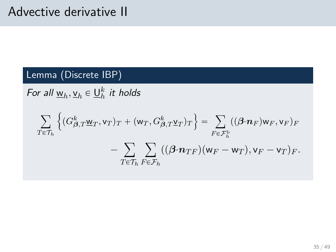## Advective derivative II

#### Lemma (Discrete IBP)

For all  $\underline{w}_h, \underline{v}_h \in \underline{U}_h^k$  it holds

$$
\sum_{T \in \mathcal{T}_h} \left\{ (G_{\beta,T}^k \underline{w}_T, v_T)_T + (\underline{w}_T, G_{\beta,T}^k \underline{v}_T)_T \right\} = \sum_{F \in \mathcal{F}_h^b} ((\beta \cdot \underline{n}_F) \underline{w}_F, v_F)_F
$$

$$
- \sum_{T \in \mathcal{T}_h} \sum_{F \in \mathcal{F}_h} ((\beta \cdot \underline{n}_{TF})(\underline{w}_F - \underline{w}_T), v_F - v_T)_F.
$$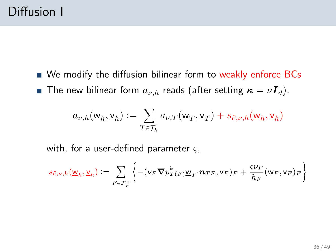We modify the diffusion bilinear form to weakly enforce BCs **The new bilinear form**  $a_{\nu,h}$  reads (after setting  $\kappa = \nu \mathbf{I}_d$ ),

$$
a_{\nu,h}(\underline{\mathbf{w}}_h, \underline{\mathbf{v}}_h) := \sum_{T \in \mathcal{T}_h} a_{\nu,T}(\underline{\mathbf{w}}_T, \underline{\mathbf{v}}_T) + s_{\partial,\nu,h}(\underline{\mathbf{w}}_h, \underline{\mathbf{v}}_h)
$$

with, for a user-defined parameter  $\varsigma$ ,

$$
s_{\partial,\nu,h}(\underline{\mathbf{w}}_h,\underline{\mathbf{v}}_h) := \sum_{F \in \mathcal{F}_h^{\mathrm{b}}} \left\{ -(\nu_F \boldsymbol{\nabla} p_{T(F)}^k \underline{\mathbf{w}}_T \cdot \boldsymbol{n}_{TF},\mathbf{v}_F)_F + \frac{\varsigma \nu_F}{h_F} (\mathbf{w}_F,\mathbf{v}_F)_F \right\}
$$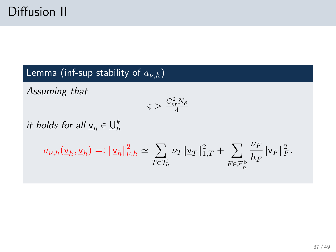Lemma (inf-sup stability of  $a_{\nu,h}$ )

Assuming that

$$
\varsigma > \frac{C_{\rm tr}^2 N_\partial}{4}
$$

it holds for all  $\underline{\mathsf{v}}_h \in \underline{\mathsf{U}}_h^k$ 

$$
a_{\nu,h}(\underline{\mathsf{v}}_h,\underline{\mathsf{v}}_h)=:\|\underline{\mathsf{v}}_h\|_{\nu,h}^2\simeq\sum_{T\in\mathcal{T}_h}\nu_T\|\underline{\mathsf{v}}_T\|_{1,T}^2+\sum_{F\in\mathcal{F}_h^{\mathrm{b}}}\frac{\nu_F}{h_F}\|\mathsf{v}_F\|_F^2.
$$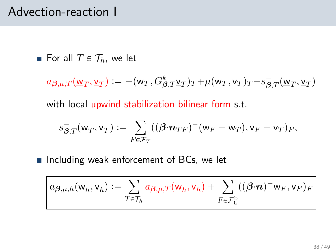## Advection-reaction I

For all  $T \in \mathcal{T}_h$ , we let

$$
a_{\boldsymbol{\beta},\mu,T}(\underline{\mathbf{w}}_T,\underline{\mathbf{v}}_T):=-(\mathbf{w}_T,G^k_{\boldsymbol{\beta},T}\underline{\mathbf{v}}_T)_T+\mu(\mathbf{w}_T,\mathbf{v}_T)_T+s_{\boldsymbol{\beta},T}^-(\underline{\mathbf{w}}_T,\underline{\mathbf{v}}_T)
$$

with local upwind stabilization bilinear form s.t.

$$
s_{\boldsymbol{\beta},T}^-(\underline{\mathbf{w}}_T,\underline{\mathbf{v}}_T):=\sum_{F\in\mathcal{F}_T}((\boldsymbol{\beta}\cdot\boldsymbol{n}_{TF})^-(\mathbf{w}_F-\mathbf{w}_T),\mathbf{v}_F-\mathbf{v}_T)_F,
$$

**Including weak enforcement of BCs, we let** 

$$
a_{\boldsymbol{\beta},\mu,h}(\underline{\mathsf{w}}_h,\underline{\mathsf{v}}_h) := \sum_{T\in\mathcal{T}_h} a_{\boldsymbol{\beta},\mu,T}(\underline{\mathsf{w}}_h,\underline{\mathsf{v}}_h) + \sum_{F\in\mathcal{F}_h^b} ((\boldsymbol{\beta}\cdot\boldsymbol{n})^+w_F,v_F)_F
$$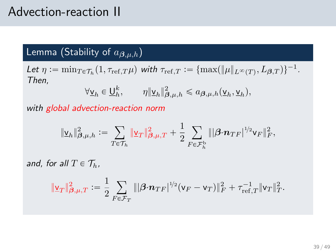## Advection-reaction II

### Lemma (Stability of  $a_{\boldsymbol{\beta},\mu,h}$ )

Let  $\eta := \min_{T \in \mathcal{T}_h} (1, \tau_{\text{ref},T} \mu)$  with  $\tau_{\text{ref},T} := \{ \max(||\mu||_{L^{\infty}(T)}, L_{\beta,T}) \}^{-1}$ . Then,

$$
\forall \underline{\mathbf{v}}_h \in \underline{\mathbf{U}}_h^k, \qquad \eta \|\underline{\mathbf{v}}_h\|_{\beta,\mu,h}^2 \leq a_{\beta,\mu,h}(\underline{\mathbf{v}}_h,\underline{\mathbf{v}}_h),
$$

with global advection-reaction norm

$$
\|\underline{\mathbf{v}}_h\|^2_{\pmb{\beta},\mu,h}:=\sum_{T\in\mathcal{T}_h}\|\underline{\mathbf{v}}_T\|^2_{\pmb{\beta},\mu,T}+\frac{1}{2}\sum_{F\in\mathcal{F}_h^{\rm b}}\||\pmb{\beta}\cdot\pmb{n}_{TF}|^{1/2}\mathbf{v}_F\|^2_F,
$$

and, for all  $T \in \mathcal{T}_h$ ,

$$
\|\underline{\mathbf{v}}_T\|_{\pmb{\beta},\mu,T}^2:=\frac{1}{2}\sum_{F\in\mathcal{F}_T}\||\pmb{\beta}\cdot\pmb{n}_{TF}|^{1/2}(\mathbf{v}_F-\mathbf{v}_T)\|_F^2+\tau_{\mathrm{ref},T}^{-1}\|\mathbf{v}_T\|_T^2.
$$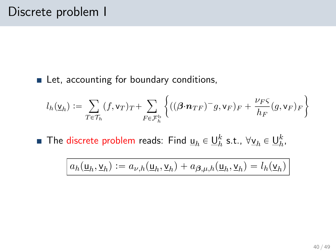#### Let, accounting for boundary conditions,

$$
l_h(\underline{\mathsf{v}}_h) := \sum_{T \in \mathcal{T}_h} (f, \mathsf{v}_T)_T + \sum_{F \in \mathcal{F}_h^{\mathrm{b}}} \left\{ ((\boldsymbol{\beta} \cdot \boldsymbol{n}_{TF})^- g, \mathsf{v}_F)_F + \frac{\nu_F \varsigma}{h_F} (g, \mathsf{v}_F)_F \right\}
$$

The discrete problem reads: Find  $\underline{\mathsf{u}}_h \in \underline{\mathsf{U}}_h^k$  s.t.,  $\forall \underline{\mathsf{v}}_h \in \underline{\mathsf{U}}_h^k$ ,

$$
a_h(\underline{\mathbf{u}}_h, \underline{\mathbf{v}}_h) := a_{\nu,h}(\underline{\mathbf{u}}_h, \underline{\mathbf{v}}_h) + a_{\boldsymbol{\beta},\mu,h}(\underline{\mathbf{u}}_h, \underline{\mathbf{v}}_h) = l_h(\underline{\mathbf{v}}_h)
$$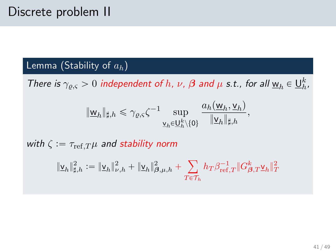#### Lemma (Stability of  $a_h$ )

There is  $\gamma_{\varrho,\varsigma} > 0$  independent of h,  $\nu$ ,  $\beta$  and  $\mu$  s.t., for all  $\underline{w}_h \in \underline{U}_h^k$ ,

$$
\|\underline{\mathsf{w}}_h\|_{\sharp,h} \leqslant \gamma_{\varrho,\varsigma} \zeta^{-1} \sup_{\underline{\mathsf{v}}_h \in \underline{\mathsf{U}}_h^k \setminus \{0\}} \frac{a_h(\underline{\mathsf{w}}_h, \underline{\mathsf{v}}_h)}{\|\underline{\mathsf{v}}_h\|_{\sharp,h}},
$$

with  $\zeta := \tau_{\text{ref.}T} \mu$  and stability norm

$$
\|\underline{\mathbf{v}}_h\|_{\sharp,h}^2:=\|\underline{\mathbf{v}}_h\|_{\nu,h}^2+\|\underline{\mathbf{v}}_h\|_{\beta,\mu,h}^2+\sum_{T\in\mathcal{T}_h}h_T\beta_{\mathrm{ref},T}^{-1}\|G_{\beta,T}^k\underline{\mathbf{v}}_h\|_T^2
$$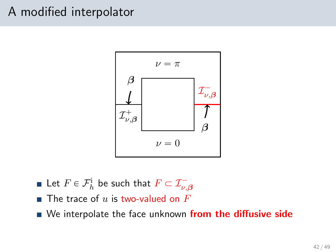# A modified interpolator



- Let  $F\in \mathcal{F}^\text{i}_h$  be such that  $F\subset \mathcal{I}^-_{\nu,\boldsymbol{\beta}}$
- $\blacksquare$  The trace of u is two-valued on F
- We interpolate the face unknown from the diffusive side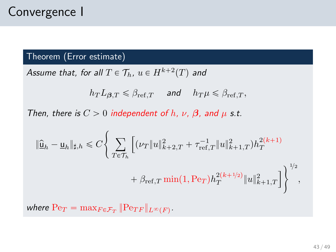#### Theorem (Error estimate)

Assume that, for all  $T \in \mathcal{T}_h$ ,  $u \in H^{k+2}(T)$  and

$$
h_T L_{\beta,T} \leqslant \beta_{\mathrm{ref},T} \quad \text{ and } \quad h_T \mu \leqslant \beta_{\mathrm{ref},T},
$$

Then, there is  $C > 0$  independent of h,  $\nu$ ,  $\beta$ , and  $\mu$  s.t.

$$
\label{eq:2} \begin{split} \|\widehat{\underline{\mathbf{u}}}_h - \underline{\mathbf{u}}_h\|_{\sharp,h} &\leqslant C \Bigg\{ \sum_{T\in\mathcal{T}_h} \Big[ (\nu_T \|u\|_{k+2,T}^2 + \tau_{\mathrm{ref},T}^{-1} \|u\|_{k+1,T}^2) h_T^{2(k+1)} \\ &\qquad \qquad + \beta_{\mathrm{ref},T} \min(1,\mathrm{Pe}_T) h_T^{2(k+1/2)} \|u\|_{k+1,T}^2 \Big] \Bigg\}^{1/2}, \end{split}
$$

where  $Pe_T = \max_{F \in \mathcal{F}_T} ||Pe_{TF}||_{L^{\infty}(F)}$ .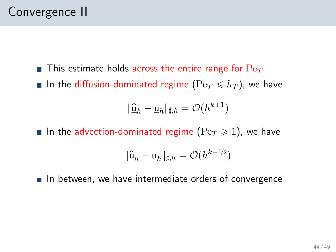- **This estimate holds across the entire range for**  $Pe_T$
- In the diffusion-dominated regime ( $Pe_T \leq h_T$ ), we have

$$
\|\widehat{\underline{\mathsf{u}}}_h - \underline{\mathsf{u}}_h\|_{\sharp,h} = \mathcal{O}(h^{k+1})
$$

In the advection-dominated regime ( $Pe_T \ge 1$ ), we have

$$
\|\widehat{\underline{\mathsf{u}}}_h-\underline{\mathsf{u}}_h\|_{\sharp,h}=\mathcal{O}(h^{k+1/2})
$$

 $\blacksquare$  In between, we have intermediate orders of convergence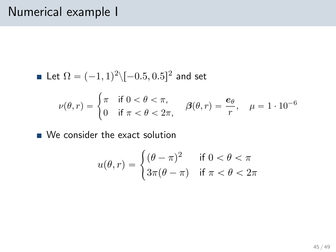## Numerical example I

Let 
$$
\Omega = (-1, 1)^2 \setminus [-0.5, 0.5]^2
$$
 and set  
\n
$$
\nu(\theta, r) = \begin{cases} \pi & \text{if } 0 < \theta < \pi, \\ 0 & \text{if } \pi < \theta < 2\pi, \end{cases} \quad \beta(\theta, r) = \frac{e_{\theta}}{r}, \quad \mu = 1 \cdot 10^{-6}
$$

■ We consider the exact solution

$$
u(\theta, r) = \begin{cases} (\theta - \pi)^2 & \text{if } 0 < \theta < \pi \\ 3\pi(\theta - \pi) & \text{if } \pi < \theta < 2\pi \end{cases}
$$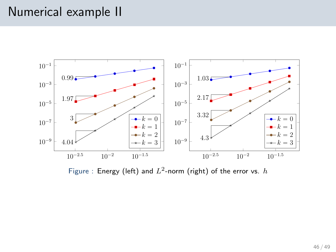## Numerical example II



Figure : Energy (left) and  $L^2$ -norm (right) of the error vs.  $h$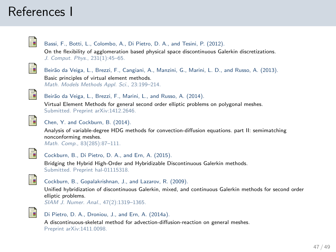## References I

<span id="page-46-0"></span>

#### Bassi, F., Botti, L., Colombo, A., Di Pietro, D. A., and Tesini, P. (2012).

On the flexibility of agglomeration based physical space discontinuous Galerkin discretizations. J. Comput. Phys., 231(1):45–65.

<span id="page-46-3"></span>

Beirão da Veiga, L., Brezzi, F., Cangiani, A., Manzini, G., Marini, L. D., and Russo, A. (2013). Basic principles of virtual element methods. Math. Models Methods Appl. Sci., 23:199–214.

<span id="page-46-4"></span>

Beirão da Veiga, L., Brezzi, F., Marini, L., and Russo, A. (2014).

Virtual Element Methods for general second order elliptic problems on polygonal meshes. Submitted. Preprint [arXiv:1412.2646.](http://arxiv.org/abs/1412.2646)

<span id="page-46-2"></span>

#### Chen, Y. and Cockburn, B. (2014).

Analysis of variable-degree HDG methods for convection-diffusion equations. part II: semimatching nonconforming meshes.

Math. Comp., 83(285):87–111.

<span id="page-46-6"></span>

#### Cockburn, B., Di Pietro, D. A., and Ern, A. (2015).

Bridging the Hybrid High-Order and Hybridizable Discontinuous Galerkin methods. Submitted. Preprint [hal-01115318.](https://hal.archives-ouvertes.fr/hal-01115318)

<span id="page-46-1"></span>

Cockburn, B., Gopalakrishnan, J., and Lazarov, R. (2009).

Unified hybridization of discontinuous Galerkin, mixed, and continuous Galerkin methods for second order elliptic problems.

SIAM J. Numer. Anal., 47(2):1319–1365.

<span id="page-46-5"></span>

#### Di Pietro, D. A., Droniou, J., and Ern, A. (2014a).

A discontinuous-skeletal method for advection-diffusion-reaction on general meshes. Preprint [arXiv:1411.0098.](http://arxiv.org/abs/1411.0098)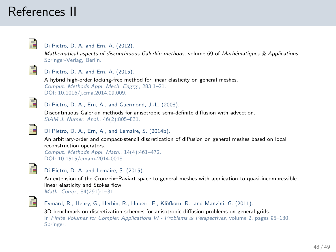# References II

<span id="page-47-0"></span>

#### Di Pietro, D. A. and Ern, A. (2012).

Mathematical aspects of discontinuous Galerkin methods, volume 69 of Mathématiques & Applications. Springer-Verlag, Berlin.



#### Di Pietro, D. A. and Ern, A. (2015).

A hybrid high-order locking-free method for linear elasticity on general meshes. Comput. Methods Appl. Mech. Engrg., 283:1–21. DOI: [10.1016/j.cma.2014.09.009.](http://dx.doi.org/10.1016/j.cma.2014.09.009)

<span id="page-47-1"></span>

#### Di Pietro, D. A., Ern, A., and Guermond, J.-L. (2008).

Discontinuous Galerkin methods for anisotropic semi-definite diffusion with advection. SIAM J. Numer. Anal., 46(2):805–831.

<span id="page-47-2"></span>

#### Di Pietro, D. A., Ern, A., and Lemaire, S. (2014b).

An arbitrary-order and compact-stencil discretization of diffusion on general meshes based on local reconstruction operators.

```
Comput. Methods Appl. Math., 14(4):461–472.
DOI: 10.1515/cmam-2014-0018.
```
<span id="page-47-3"></span>

#### Di Pietro, D. A. and Lemaire, S. (2015).

An extension of the Crouzeix–Raviart space to general meshes with application to quasi-incompressible linear elasticity and Stokes flow. Math. Comp., 84(291):1–31.

<span id="page-47-4"></span>

Eymard, R., Henry, G., Herbin, R., Hubert, F., Klöfkorn, R., and Manzini, G. (2011). 3D benchmark on discretization schemes for anisotropic diffusion problems on general grids. In Finite Volumes for Complex Applications VI - Problems & Perspectives, volume 2, pages 95–130. Springer.